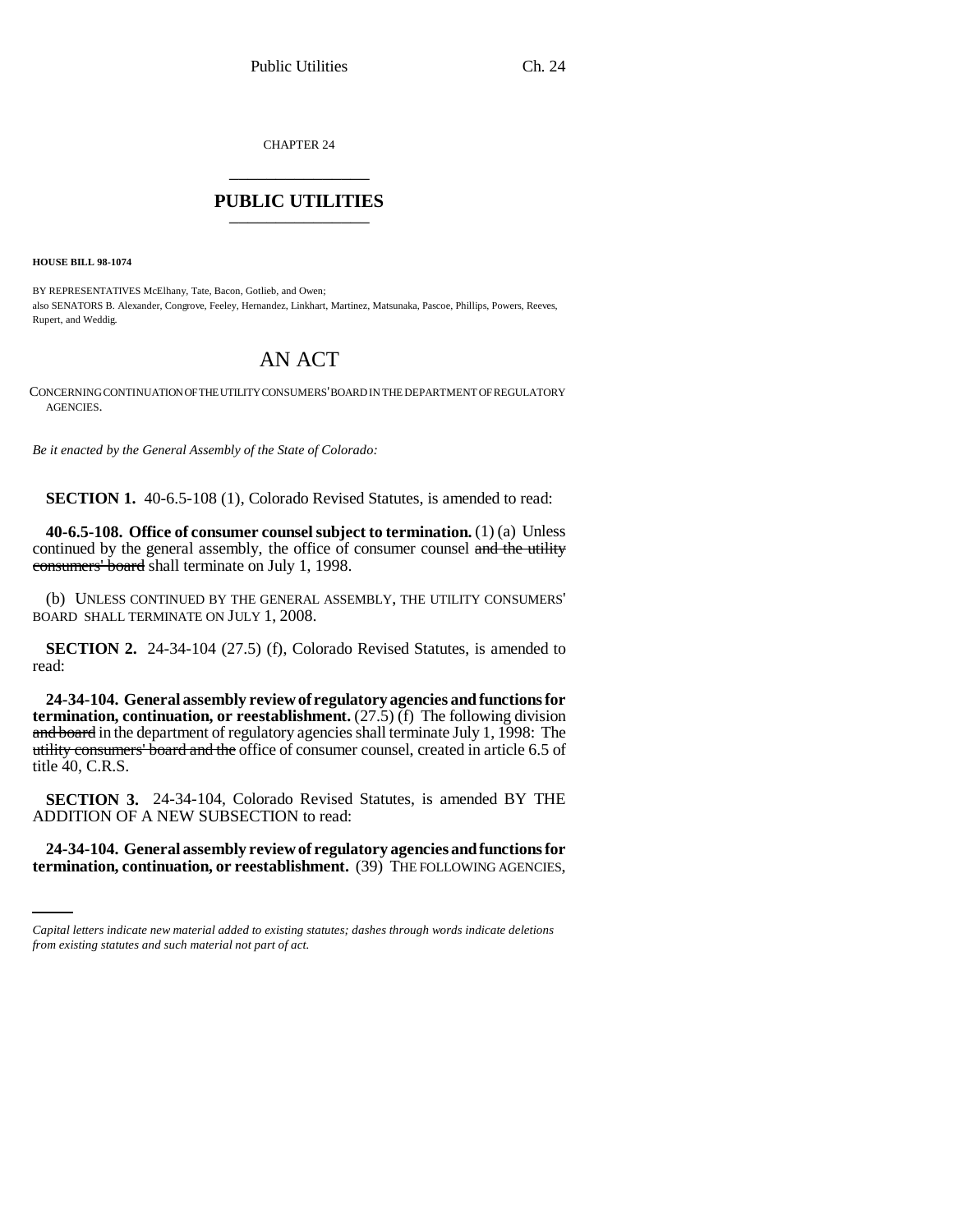CHAPTER 24 \_\_\_\_\_\_\_\_\_\_\_\_\_\_\_

## **PUBLIC UTILITIES** \_\_\_\_\_\_\_\_\_\_\_\_\_\_\_

**HOUSE BILL 98-1074**

BY REPRESENTATIVES McElhany, Tate, Bacon, Gotlieb, and Owen; also SENATORS B. Alexander, Congrove, Feeley, Hernandez, Linkhart, Martinez, Matsunaka, Pascoe, Phillips, Powers, Reeves, Rupert, and Weddig.

## AN ACT

CONCERNING CONTINUATION OF THE UTILITY CONSUMERS' BOARD IN THE DEPARTMENT OF REGULATORY AGENCIES.

*Be it enacted by the General Assembly of the State of Colorado:*

**SECTION 1.** 40-6.5-108 (1), Colorado Revised Statutes, is amended to read:

**40-6.5-108. Office of consumer counsel subject to termination.** (1) (a) Unless continued by the general assembly, the office of consumer counsel and the utility consumers' board shall terminate on July 1, 1998.

(b) UNLESS CONTINUED BY THE GENERAL ASSEMBLY, THE UTILITY CONSUMERS' BOARD SHALL TERMINATE ON JULY 1, 2008.

**SECTION 2.** 24-34-104 (27.5) (f), Colorado Revised Statutes, is amended to read:

**24-34-104. General assembly review of regulatory agencies and functions for termination, continuation, or reestablishment.** (27.5) (f) The following division and board in the department of regulatory agencies shall terminate July 1, 1998: The utility consumers' board and the office of consumer counsel, created in article 6.5 of title 40, C.R.S.

**SECTION 3.** 24-34-104, Colorado Revised Statutes, is amended BY THE ADDITION OF A NEW SUBSECTION to read:

**24-34-104. General assembly review of regulatory agencies and functions for termination, continuation, or reestablishment.** (39) THE FOLLOWING AGENCIES,

*Capital letters indicate new material added to existing statutes; dashes through words indicate deletions from existing statutes and such material not part of act.*